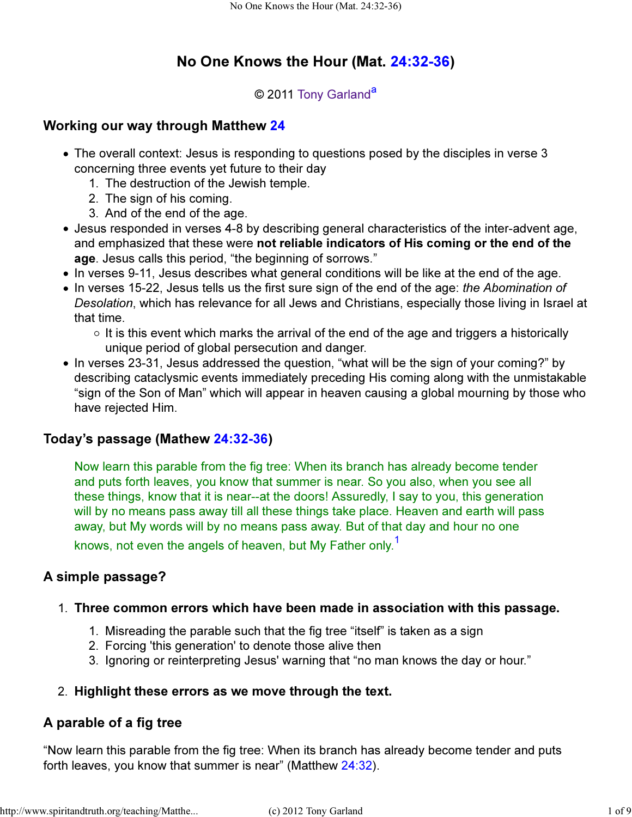# No One Knows the Hour (Mat. 24:32-36)

## © 2011 Tony Garland<sup>a</sup>

## Working our way through Matthew 24

- The overall context: Jesus is responding to questions posed by the disciples in verse 3 concerning three events yet future to their day
	- 1. The destruction of the Jewish temple.
	- 2. The sign of his coming.
	- 3. And of the end of the age.
- Jesus responded in verses 4-8 by describing general characteristics of the inter-advent age, and emphasized that these were not reliable indicators of His coming or the end of the age. Jesus calls this period, "the beginning of sorrows."
- In verses 9-11, Jesus describes what general conditions will be like at the end of the age.
- In verses 15-22, Jesus tells us the first sure sign of the end of the age: the Abomination of Desolation, which has relevance for all Jews and Christians, especially those living in Israel at that time.
	- $\circ$  It is this event which marks the arrival of the end of the age and triggers a historically unique period of global persecution and danger.
- In verses 23-31, Jesus addressed the question, "what will be the sign of your coming?" by describing cataclysmic events immediately preceding His coming along with the unmistakable "sign of the Son of Man" which will appear in heaven causing a global mourning by those who have rejected Him.

## Today's passage (Mathew 24:32-36)

Now learn this parable from the fig tree: When its branch has already become tender and puts forth leaves, you know that summer is near. So you also, when you see all these things, know that it is near--at the doors! Assuredly, I say to you, this generation will by no means pass away till all these things take place. Heaven and earth will pass away, but My words will by no means pass away. But of that day and hour no one

knows, not even the angels of heaven, but My Father only.<sup>1</sup>

## A simple passage?

#### 1. Three common errors which have been made in association with this passage.

- 1. Misreading the parable such that the fig tree "itself" is taken as a sign
- 2. Forcing 'this generation' to denote those alive then
- 3. Ignoring or reinterpreting Jesus' warning that "no man knows the day or hour."

## 2. Highlight these errors as we move through the text.

## A parable of a fig tree

"Now learn this parable from the fig tree: When its branch has already become tender and puts forth leaves, you know that summer is near" (Matthew 24:32).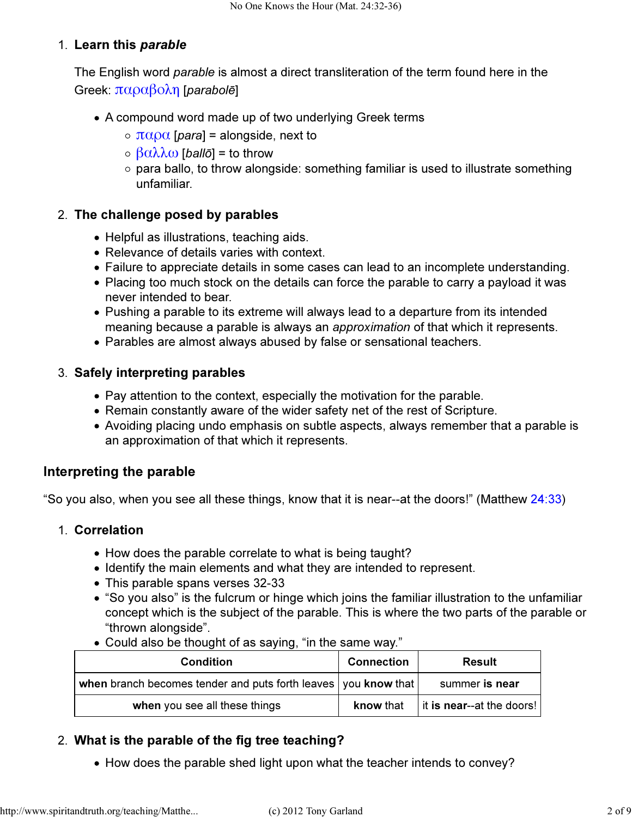### 1. Learn this *parable*

The English word *parable* is almost a direct transliteration of the term found here in the Greek:  $\pi \alpha \rho \alpha \beta \alpha \lambda \eta$  [*parabol*ē]

- A compound word made up of two underlying Greek terms
	- $\circ$  παρα [para] = alongside, next to
	- $\circ$  βαλλω [ballō] = to throw
	- o para ballo, to throw alongside: something familiar is used to illustrate something unfamiliar.

## 2. The challenge posed by parables

- Helpful as illustrations, teaching aids.
- Relevance of details varies with context.
- Failure to appreciate details in some cases can lead to an incomplete understanding.
- Placing too much stock on the details can force the parable to carry a payload it was never intended to bear.
- Pushing a parable to its extreme will always lead to a departure from its intended meaning because a parable is always an approximation of that which it represents.
- Parables are almost always abused by false or sensational teachers.

### Safely interpreting parables 3.

- Pay attention to the context, especially the motivation for the parable.
- Remain constantly aware of the wider safety net of the rest of Scripture.
- Avoiding placing undo emphasis on subtle aspects, always remember that a parable is an approximation of that which it represents.

## Interpreting the parable

"So you also, when you see all these things, know that it is near--at the doors!" (Matthew 24:33)

#### 1. Correlation

- How does the parable correlate to what is being taught?
- Identify the main elements and what they are intended to represent.
- This parable spans verses 32-33
- "So you also" is the fulcrum or hinge which joins the familiar illustration to the unfamiliar concept which is the subject of the parable. This is where the two parts of the parable or "thrown alongside".
- Could also be thought of as saying, "in the same way."

| <b>Condition</b>                                                 | <b>Connection</b> | Result                            |
|------------------------------------------------------------------|-------------------|-----------------------------------|
| when branch becomes tender and puts forth leaves   you know that |                   | summer is near                    |
| when you see all these things                                    | know that         | $\vert$ it is near--at the doors! |

## What is the parable of the fig tree teaching? 2.

• How does the parable shed light upon what the teacher intends to convey?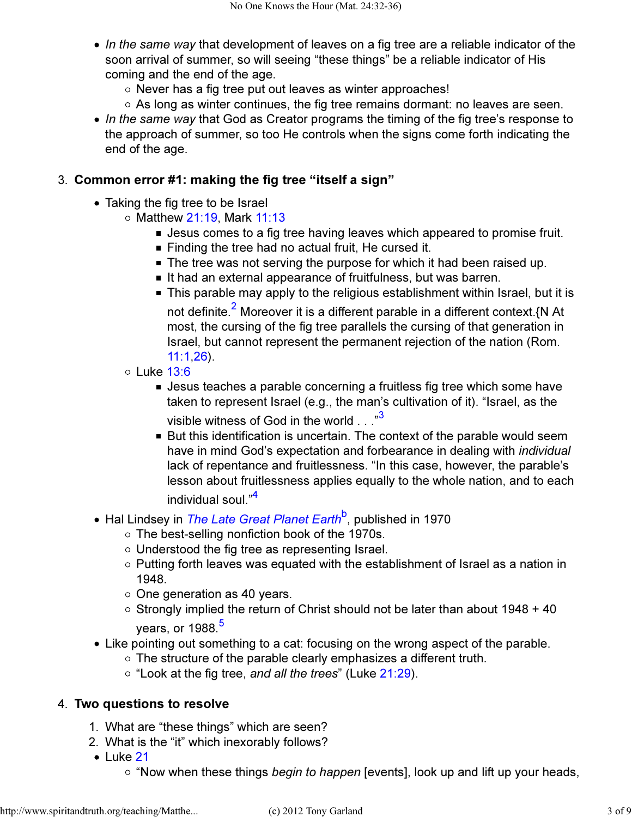- $\bullet$  In the same way that development of leaves on a fig tree are a reliable indicator of the soon arrival of summer, so will seeing "these things" be a reliable indicator of His coming and the end of the age.
	- $\circ$  Never has a fig tree put out leaves as winter approaches!
	- $\circ$  As long as winter continues, the fig tree remains dormant: no leaves are seen.
- In the same way that God as Creator programs the timing of the fig tree's response to the approach of summer, so too He controls when the signs come forth indicating the end of the age.

#### Common error #1: making the fig tree "itself a sign" 3.

- Taking the fig tree to be Israel
	- $\circ$  Matthew 21:19, Mark 11:13
		- **Jesus comes to a fig tree having leaves which appeared to promise fruit.**
		- $\blacksquare$  Finding the tree had no actual fruit, He cursed it.
		- The tree was not serving the purpose for which it had been raised up.
		- It had an external appearance of fruitfulness, but was barren.
		- This parable may apply to the religious establishment within Israel, but it is not definite.<sup>2</sup> Moreover it is a different parable in a different context.{N At most, the cursing of the fig tree parallels the cursing of that generation in Israel, but cannot represent the permanent rejection of the nation (Rom. 11:1,26).
	- $\circ$  Luke 13:6
		- Jesus teaches a parable concerning a fruitless fig tree which some have taken to represent Israel (e.g., the man's cultivation of it). "Israel, as the visible witness of God in the world . . . "3
		- But this identification is uncertain. The context of the parable would seem have in mind God's expectation and forbearance in dealing with individual lack of repentance and fruitlessness. "In this case, however, the parable's lesson about fruitlessness applies equally to the whole nation, and to each individual soul."<sup>4</sup>
- Hal Lindsey in *The Late Great Planet Earth<sup>b</sup>,* published in 1970
	- The best-selling nonfiction book of the 1970s.
	- $\circ$  Understood the fig tree as representing Israel.
	- $\circ$  Putting forth leaves was equated with the establishment of Israel as a nation in 1948.
	- $\circ$  One generation as 40 years.
	- $\circ$  Strongly implied the return of Christ should not be later than about 1948 + 40 years, or  $1988.<sup>5</sup>$
- Like pointing out something to a cat: focusing on the wrong aspect of the parable.
	- The structure of the parable clearly emphasizes a different truth.
	- $\circ$  "Look at the fig tree, and all the trees" (Luke 21:29).

#### 4. Two questions to resolve

- 1. What are "these things" which are seen?
- 2. What is the "it" which inexorably follows?
- $\bullet$  Luke 21
	- $\circ$  "Now when these things *begin to happen* [events], look up and lift up your heads,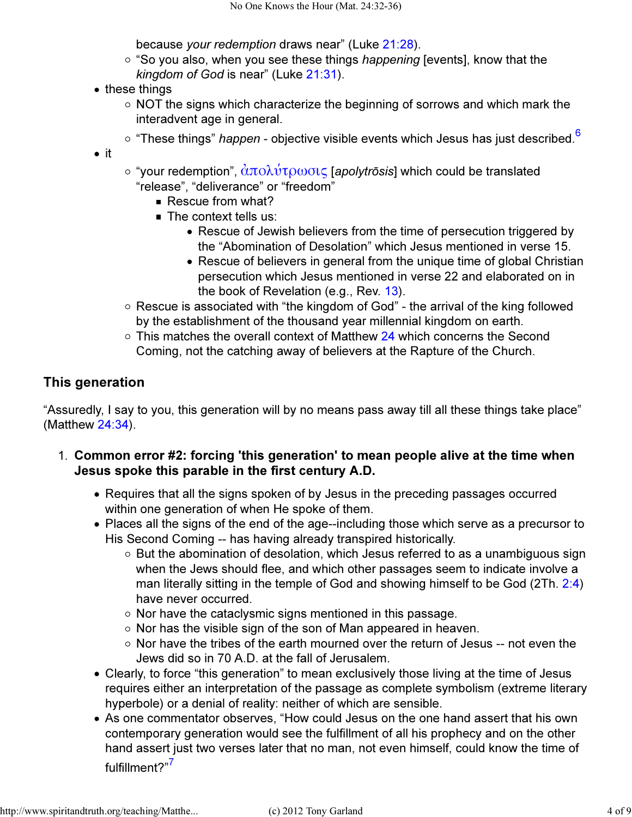because your redemption draws near" (Luke 21:28).

- $\circ$  "So you also, when you see these things happening [events], know that the kingdom of God is near" (Luke 21:31).
- these things
	- $\circ$  NOT the signs which characterize the beginning of sorrows and which mark the interadvent age in general.
	- $\circ$  "These things" *happen* objective visible events which Jesus has just described.<sup>6</sup>
- $\bullet$  it
- $\circ$  "your redemption",  $\frac{\partial \pi}{\partial \lambda}$   $\frac{\partial \tau}{\partial \omega}$   $\sigma$  [*apolytrosis*] which could be translated "release", "deliverance" or "freedom"
	- Rescue from what?
	- The context tells us:
		- Rescue of Jewish believers from the time of persecution triggered by the "Abomination of Desolation" which Jesus mentioned in verse 15.
		- Rescue of believers in general from the unique time of global Christian persecution which Jesus mentioned in verse 22 and elaborated on in the book of Revelation (e.g., Rev. 13).
- Rescue is associated with "the kingdom of God" the arrival of the king followed by the establishment of the thousand year millennial kingdom on earth.
- $\circ$  This matches the overall context of Matthew 24 which concerns the Second Coming, not the catching away of believers at the Rapture of the Church.

## This generation

"Assuredly, I say to you, this generation will by no means pass away till all these things take place" (Matthew 24:34).

- Common error #2: forcing 'this generation' to mean people alive at the time when 1. Jesus spoke this parable in the first century A.D.
	- Requires that all the signs spoken of by Jesus in the preceding passages occurred within one generation of when He spoke of them.
	- Places all the signs of the end of the age--including those which serve as a precursor to His Second Coming -- has having already transpired historically.
		- $\circ$  But the abomination of desolation, which Jesus referred to as a unambiguous sign when the Jews should flee, and which other passages seem to indicate involve a man literally sitting in the temple of God and showing himself to be God (2Th. 2:4) have never occurred.
		- $\circ$  Nor have the cataclysmic signs mentioned in this passage.
		- $\circ$  Nor has the visible sign of the son of Man appeared in heaven.
		- $\circ$  Nor have the tribes of the earth mourned over the return of Jesus -- not even the Jews did so in 70 A.D. at the fall of Jerusalem.
	- Clearly, to force "this generation" to mean exclusively those living at the time of Jesus requires either an interpretation of the passage as complete symbolism (extreme literary hyperbole) or a denial of reality: neither of which are sensible.
	- As one commentator observes, "How could Jesus on the one hand assert that his own contemporary generation would see the fulfillment of all his prophecy and on the other hand assert just two verses later that no man, not even himself, could know the time of fulfillment?"<sup>7</sup>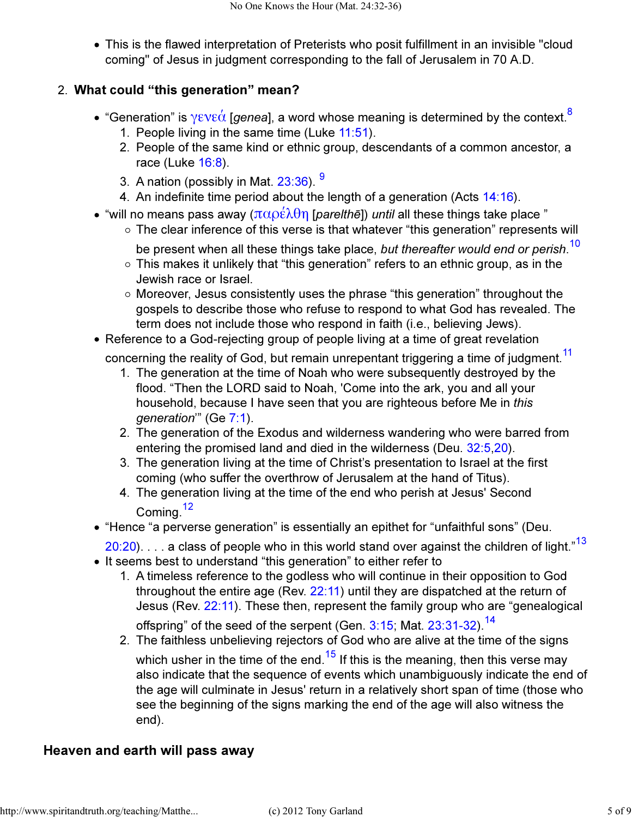This is the flawed interpretation of Preterists who posit fulfillment in an invisible "cloud coming" of Jesus in judgment corresponding to the fall of Jerusalem in 70 A.D.

## What could "this generation" mean? 2.

- "Generation" is γενεά [genea], a word whose meaning is determined by the context.<sup>8</sup>
	- 1. People living in the same time (Luke 11:51).
	- 2. People of the same kind or ethnic group, descendants of a common ancestor, a race (Luke 16:8).
	- 3. A nation (possibly in Mat. 23:36). <sup>9</sup>
	- 4. An indefinite time period about the length of a generation (Acts  $14:16$ ).
- "will no means pass away ( $\pi \alpha \rho \varepsilon \lambda \theta \eta$  [parelthe]) until all these things take place "
	- The clear inference of this verse is that whatever "this generation" represents will
		- be present when all these things take place, *but thereafter would end or perish.<sup>10</sup>*
	- $\circ$  This makes it unlikely that "this generation" refers to an ethnic group, as in the Jewish race or Israel.
	- Moreover, Jesus consistently uses the phrase "this generation" throughout the gospels to describe those who refuse to respond to what God has revealed. The term does not include those who respond in faith (i.e., believing Jews).
- Reference to a God-rejecting group of people living at a time of great revelation

concerning the reality of God, but remain unrepentant triggering a time of judgment.<sup>11</sup>

- 1. The generation at the time of Noah who were subsequently destroyed by the flood. "Then the LORD said to Noah, 'Come into the ark, you and all your household, because I have seen that you are righteous before Me in this generation'" (Ge 7:1).
- The generation of the Exodus and wilderness wandering who were barred from 2. entering the promised land and died in the wilderness (Deu. 32:5,20).
- The generation living at the time of Christ's presentation to Israel at the first 3. coming (who suffer the overthrow of Jerusalem at the hand of Titus).
- The generation living at the time of the end who perish at Jesus' Second 4. Coming<sup>12</sup>
- "Hence "a perverse generation" is essentially an epithet for "unfaithful sons" (Deu.
	- $20:20$ . . . . a class of people who in this world stand over against the children of light."<sup>13</sup>
- It seems best to understand "this generation" to either refer to
	- A timeless reference to the godless who will continue in their opposition to God 1. throughout the entire age (Rev. 22:11) until they are dispatched at the return of Jesus (Rev. 22:11). These then, represent the family group who are "genealogical offspring" of the seed of the serpent (Gen. 3:15; Mat. 23:31-32).<sup>14</sup>
	- The faithless unbelieving rejectors of God who are alive at the time of the signs 2. which usher in the time of the end.<sup>15</sup> If this is the meaning, then this verse may also indicate that the sequence of events which unambiguously indicate the end of the age will culminate in Jesus' return in a relatively short span of time (those who see the beginning of the signs marking the end of the age will also witness the end).

## Heaven and earth will pass away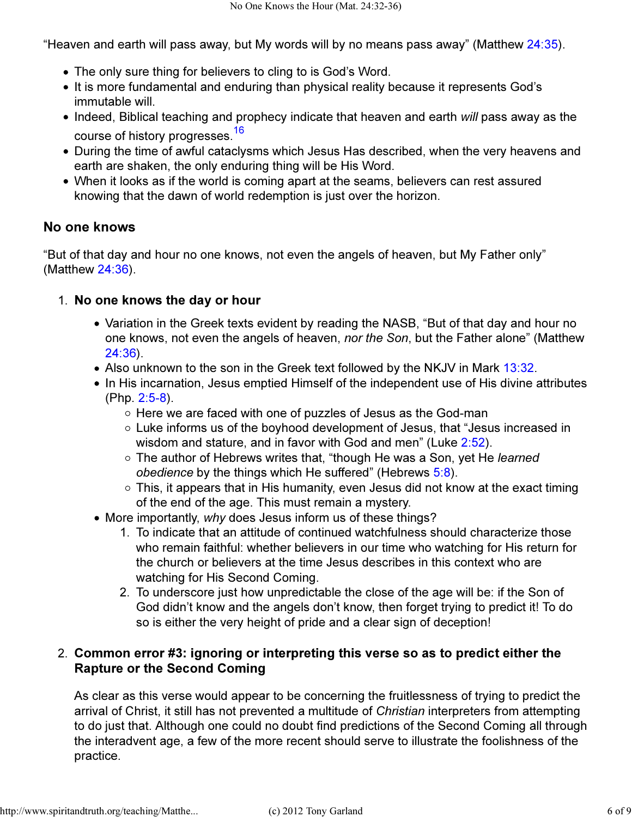"Heaven and earth will pass away, but My words will by no means pass away" (Matthew  $24:35$ ).

- The only sure thing for believers to cling to is God's Word.
- It is more fundamental and enduring than physical reality because it represents God's immutable will.
- Indeed, Biblical teaching and prophecy indicate that heaven and earth will pass away as the course of history progresses.<sup>16</sup>
- During the time of awful cataclysms which Jesus Has described, when the very heavens and earth are shaken, the only enduring thing will be His Word.
- When it looks as if the world is coming apart at the seams, believers can rest assured knowing that the dawn of world redemption is just over the horizon.

#### No one knows

"But of that day and hour no one knows, not even the angels of heaven, but My Father only" (Matthew 24:36).

#### 1. No one knows the day or hour

- Variation in the Greek texts evident by reading the NASB, "But of that day and hour no one knows, not even the angels of heaven, nor the Son, but the Father alone" (Matthew 24:36).
- Also unknown to the son in the Greek text followed by the NKJV in Mark 13:32.
- In His incarnation, Jesus emptied Himself of the independent use of His divine attributes (Php. 2:5-8).
	- $\circ$  Here we are faced with one of puzzles of Jesus as the God-man
	- Luke informs us of the boyhood development of Jesus, that "Jesus increased in wisdom and stature, and in favor with God and men" (Luke 2:52).
	- The author of Hebrews writes that, "though He was a Son, yet He learned obedience by the things which He suffered" (Hebrews  $5:8$ ).
	- $\circ$  This, it appears that in His humanity, even Jesus did not know at the exact timing of the end of the age. This must remain a mystery.
- More importantly, why does Jesus inform us of these things?
	- 1. To indicate that an attitude of continued watchfulness should characterize those who remain faithful: whether believers in our time who watching for His return for the church or believers at the time Jesus describes in this context who are watching for His Second Coming.
	- 2. To underscore just how unpredictable the close of the age will be: if the Son of God didn't know and the angels don't know, then forget trying to predict it! To do so is either the very height of pride and a clear sign of deception!

### Common error #3: ignoring or interpreting this verse so as to predict either the 2. Rapture or the Second Coming

As clear as this verse would appear to be concerning the fruitlessness of trying to predict the arrival of Christ, it still has not prevented a multitude of Christian interpreters from attempting to do just that. Although one could no doubt find predictions of the Second Coming all through the interadvent age, a few of the more recent should serve to illustrate the foolishness of the practice.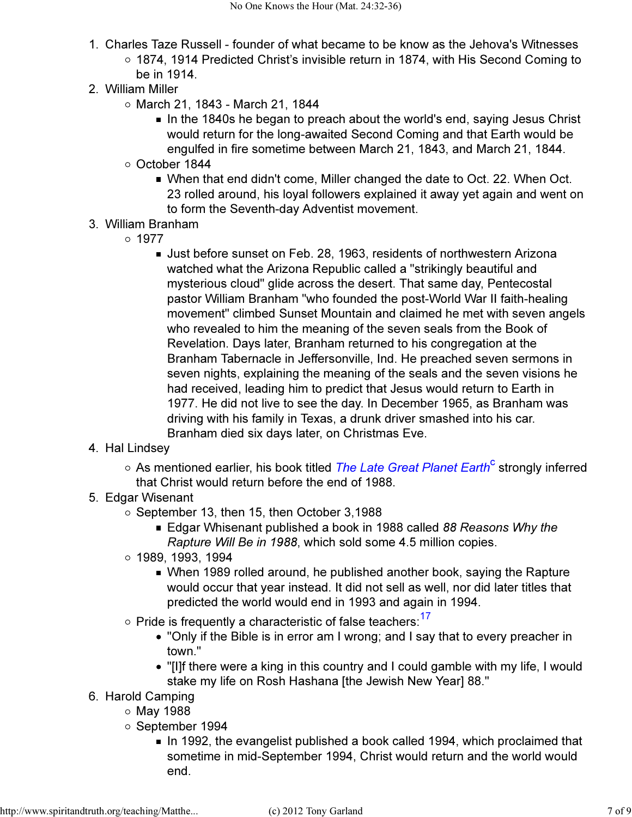- 1. Charles Taze Russell founder of what became to be know as the Jehova's Witnesses 1874, 1914 Predicted Christ's invisible return in 1874, with His Second Coming to be in 1914.
- 2. William Miller
	- $\circ$  March 21, 1843 March 21, 1844
		- In the 1840s he began to preach about the world's end, saying Jesus Christ would return for the long-awaited Second Coming and that Earth would be engulfed in fire sometime between March 21, 1843, and March 21, 1844.
	- October 1844
		- When that end didn't come, Miller changed the date to Oct. 22. When Oct. 23 rolled around, his loyal followers explained it away yet again and went on to form the Seventh-day Adventist movement.
- 3. William Branham
	- $0.1977$ 
		- Just before sunset on Feb. 28, 1963, residents of northwestern Arizona watched what the Arizona Republic called a "strikingly beautiful and mysterious cloud" glide across the desert. That same day, Pentecostal pastor William Branham "who founded the post-World War II faith-healing movement" climbed Sunset Mountain and claimed he met with seven angels who revealed to him the meaning of the seven seals from the Book of Revelation. Days later, Branham returned to his congregation at the Branham Tabernacle in Jeffersonville, Ind. He preached seven sermons in seven nights, explaining the meaning of the seals and the seven visions he had received, leading him to predict that Jesus would return to Earth in 1977. He did not live to see the day. In December 1965, as Branham was driving with his family in Texas, a drunk driver smashed into his car. Branham died six days later, on Christmas Eve.
- 4. Hal Lindsey
	- As mentioned earlier, his book titled *The Late Great Planet Earth<sup>c</sup>* strongly inferred that Christ would return before the end of 1988.
- 5. Edgar Wisenant
	- $\circ$  September 13, then 15, then October 3,1988
		- Edgar Whisenant published a book in 1988 called 88 Reasons Why the Rapture Will Be in 1988, which sold some 4.5 million copies.
	- 1989, 1993, 1994
		- When 1989 rolled around, he published another book, saying the Rapture would occur that year instead. It did not sell as well, nor did later titles that predicted the world would end in 1993 and again in 1994.
	- $\circ$  Pride is frequently a characteristic of false teachers:  $17$ 
		- "Only if the Bible is in error am I wrong; and I say that to every preacher in town."
		- "[I]f there were a king in this country and I could gamble with my life, I would stake my life on Rosh Hashana [the Jewish New Year] 88."
- 6. Harold Camping
	- $\circ$  May 1988
		- o September 1994
			- In 1992, the evangelist published a book called 1994, which proclaimed that sometime in mid-September 1994, Christ would return and the world would end.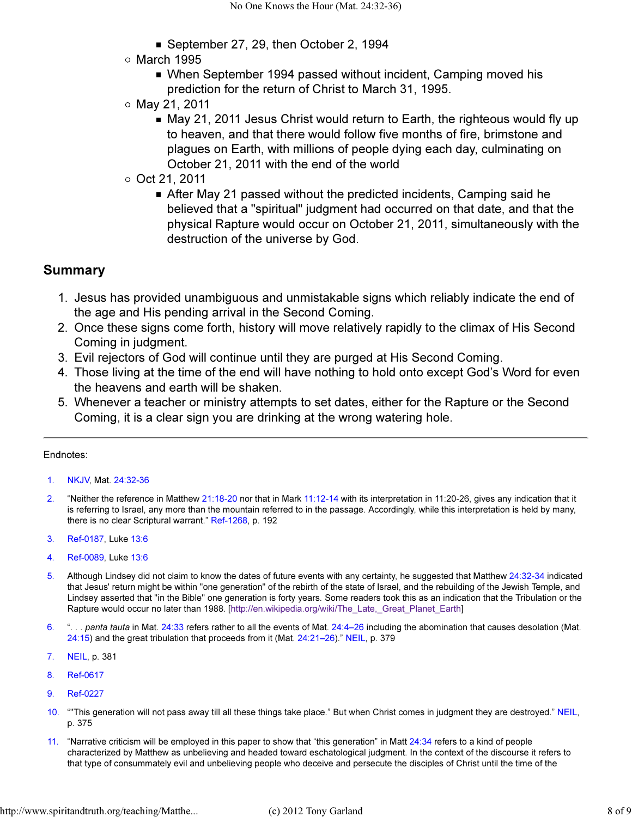- September 27, 29, then October 2, 1994
- $\circ$  March 1995
	- When September 1994 passed without incident, Camping moved his prediction for the return of Christ to March 31, 1995.
- $\circ$  May 21, 2011
	- May 21, 2011 Jesus Christ would return to Earth, the righteous would fly up to heaven, and that there would follow five months of fire, brimstone and plagues on Earth, with millions of people dying each day, culminating on October 21, 2011 with the end of the world
- $\circ$  Oct 21, 2011
	- After May 21 passed without the predicted incidents, Camping said he believed that a "spiritual" judgment had occurred on that date, and that the physical Rapture would occur on October 21, 2011, simultaneously with the destruction of the universe by God.

#### Summary

- 1. Jesus has provided unambiguous and unmistakable signs which reliably indicate the end of the age and His pending arrival in the Second Coming.
- Once these signs come forth, history will move relatively rapidly to the climax of His Second 2. Coming in judgment.
- 3. Evil rejectors of God will continue until they are purged at His Second Coming.
- Those living at the time of the end will have nothing to hold onto except God's Word for even 4. the heavens and earth will be shaken.
- Whenever a teacher or ministry attempts to set dates, either for the Rapture or the Second 5. Coming, it is a clear sign you are drinking at the wrong watering hole.

#### Endnotes:

- 1. NKJV, Mat. 24:32-36
- 2. "Neither the reference in Matthew 21:18-20 nor that in Mark 11:12-14 with its interpretation in 11:20-26, gives any indication that it is referring to Israel, any more than the mountain referred to in the passage. Accordingly, while this interpretation is held by many, there is no clear Scriptural warrant." Ref-1268, p. 192
- 3. Ref-0187, Luke 13:6
- 4. Ref-0089, Luke 13:6
- 5. Although Lindsey did not claim to know the dates of future events with any certainty, he suggested that Matthew 24:32-34 indicated that Jesus' return might be within "one generation" of the rebirth of the state of Israel, and the rebuilding of the Jewish Temple, and Lindsey asserted that "in the Bible" one generation is forty years. Some readers took this as an indication that the Tribulation or the Rapture would occur no later than 1988. [http://en.wikipedia.org/wiki/The\_Late,\_Great\_Planet\_Earth]
- 6. ". . . panta tauta in Mat. 24:33 refers rather to all the events of Mat. 24:4–26 including the abomination that causes desolation (Mat. 24:15) and the great tribulation that proceeds from it (Mat. 24:21–26)." NEIL, p. 379
- 7. NEIL, p. 381
- 8. Ref-0617
- 9. Ref-0227
- 10. ""This generation will not pass away till all these things take place." But when Christ comes in judgment they are destroyed." NEIL, p. 375
- 11. "Narrative criticism will be employed in this paper to show that "this generation" in Matt 24:34 refers to a kind of people characterized by Matthew as unbelieving and headed toward eschatological judgment. In the context of the discourse it refers to that type of consummately evil and unbelieving people who deceive and persecute the disciples of Christ until the time of the